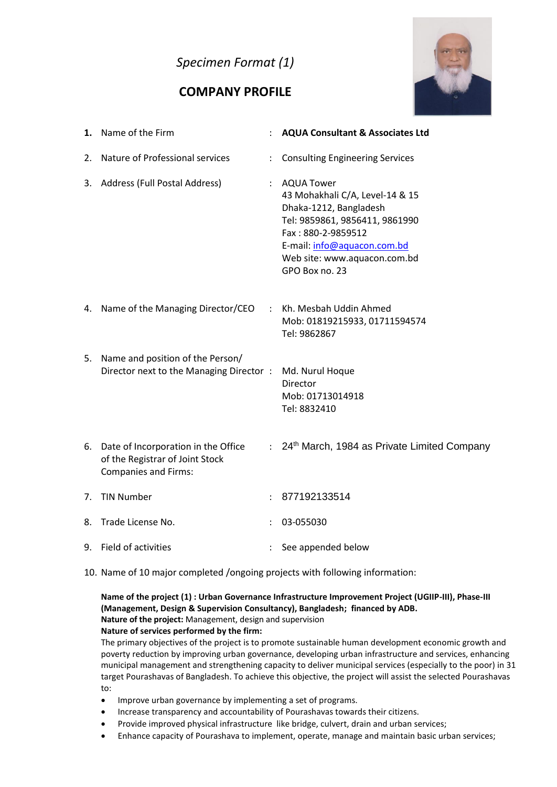# *Specimen Format (1)*

# **COMPANY PROFILE**



| 1. | Name of the Firm                                                                                         |                      | <b>AQUA Consultant &amp; Associates Ltd</b>                                                                                                                                                                        |
|----|----------------------------------------------------------------------------------------------------------|----------------------|--------------------------------------------------------------------------------------------------------------------------------------------------------------------------------------------------------------------|
| 2. | Nature of Professional services                                                                          |                      | <b>Consulting Engineering Services</b>                                                                                                                                                                             |
|    | 3. Address (Full Postal Address)                                                                         |                      | : AQUA Tower<br>43 Mohakhali C/A, Level-14 & 15<br>Dhaka-1212, Bangladesh<br>Tel: 9859861, 9856411, 9861990<br>Fax: 880-2-9859512<br>E-mail: info@aquacon.com.bd<br>Web site: www.aquacon.com.bd<br>GPO Box no. 23 |
|    | 4. Name of the Managing Director/CEO                                                                     | $\ddot{\phantom{0}}$ | Kh. Mesbah Uddin Ahmed<br>Mob: 01819215933, 01711594574<br>Tel: 9862867                                                                                                                                            |
| 5. | Name and position of the Person/<br>Director next to the Managing Director:                              |                      | Md. Nurul Hoque<br>Director<br>Mob: 01713014918<br>Tel: 8832410                                                                                                                                                    |
|    | 6. Date of Incorporation in the Office<br>of the Registrar of Joint Stock<br><b>Companies and Firms:</b> | $\mathcal{L}$        | 24th March, 1984 as Private Limited Company                                                                                                                                                                        |
| 7. | <b>TIN Number</b>                                                                                        |                      | 877192133514                                                                                                                                                                                                       |
| 8. | Trade License No.                                                                                        |                      | 03-055030                                                                                                                                                                                                          |
|    | 9. Field of activities                                                                                   |                      | See appended below                                                                                                                                                                                                 |

10. Name of 10 major completed /ongoing projects with following information:

#### **Name of the project (1) : Urban Governance Infrastructure Improvement Project (UGIIP-III), Phase-III (Management, Design & Supervision Consultancy), Bangladesh; financed by ADB. Nature of the project:** Management, design and supervision **Nature of services performed by the firm:**

The primary objectives of the project is to promote sustainable human development economic growth and poverty reduction by improving urban governance, developing urban infrastructure and services, enhancing municipal management and strengthening capacity to deliver municipal services (especially to the poor) in 31 target Pourashavas of Bangladesh. To achieve this objective, the project will assist the selected Pourashavas to:

- Improve urban governance by implementing a set of programs.
- Increase transparency and accountability of Pourashavas towards their citizens.
- Provide improved physical infrastructure like bridge, culvert, drain and urban services;
- Enhance capacity of Pourashava to implement, operate, manage and maintain basic urban services;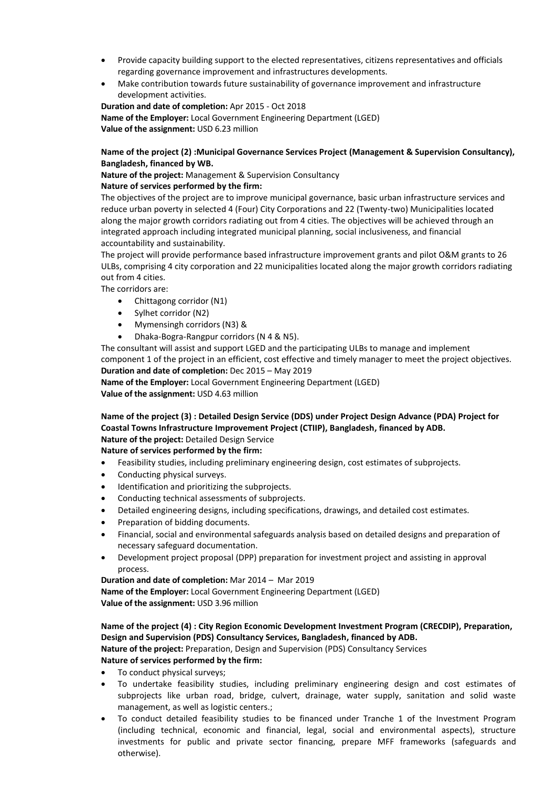- Provide capacity building support to the elected representatives, citizens representatives and officials regarding governance improvement and infrastructures developments.
- Make contribution towards future sustainability of governance improvement and infrastructure development activities.

**Duration and date of completion:** Apr 2015 - Oct 2018 **Name of the Employer:** Local Government Engineering Department (LGED) **Value of the assignment:** USD 6.23 million

#### **Name of the project (2) :Municipal Governance Services Project (Management & Supervision Consultancy), Bangladesh, financed by WB.**

**Nature of the project:** Management & Supervision Consultancy **Nature of services performed by the firm:**

The objectives of the project are to improve municipal governance, basic urban infrastructure services and reduce urban poverty in selected 4 (Four) City Corporations and 22 (Twenty-two) Municipalities located along the major growth corridors radiating out from 4 cities. The objectives will be achieved through an integrated approach including integrated municipal planning, social inclusiveness, and financial accountability and sustainability.

The project will provide performance based infrastructure improvement grants and pilot O&M grants to 26 ULBs, comprising 4 city corporation and 22 municipalities located along the major growth corridors radiating out from 4 cities.

The corridors are:

- Chittagong corridor (N1)
- Sylhet corridor (N2)
- Mymensingh corridors (N3) &
- Dhaka-Bogra-Rangpur corridors (N 4 & N5).

The consultant will assist and support LGED and the participating ULBs to manage and implement component 1 of the project in an efficient, cost effective and timely manager to meet the project objectives. **Duration and date of completion:** Dec 2015 – May 2019

**Name of the Employer:** Local Government Engineering Department (LGED) **Value of the assignment:** USD 4.63 million

**Name of the project (3) : Detailed Design Service (DDS) under Project Design Advance (PDA) Project for Coastal Towns Infrastructure Improvement Project (CTIIP), Bangladesh, financed by ADB. Nature of the project:** Detailed Design Service

#### **Nature of services performed by the firm:**

- Feasibility studies, including preliminary engineering design, cost estimates of subprojects.
- Conducting physical surveys.
- Identification and prioritizing the subprojects.
- Conducting technical assessments of subprojects.
- Detailed engineering designs, including specifications, drawings, and detailed cost estimates.
- Preparation of bidding documents.
- Financial, social and environmental safeguards analysis based on detailed designs and preparation of necessary safeguard documentation.
- Development project proposal (DPP) preparation for investment project and assisting in approval process.

#### **Duration and date of completion:** Mar 2014 – Mar 2019

**Name of the Employer:** Local Government Engineering Department (LGED) **Value of the assignment:** USD 3.96 million

#### **Name of the project (4) : City Region Economic Development Investment Program (CRECDIP), Preparation, Design and Supervision (PDS) Consultancy Services, Bangladesh, financed by ADB.**

**Nature of the project:** Preparation, Design and Supervision (PDS) Consultancy Services **Nature of services performed by the firm:**

- To conduct physical surveys;
- To undertake feasibility studies, including preliminary engineering design and cost estimates of subprojects like urban road, bridge, culvert, drainage, water supply, sanitation and solid waste management, as well as logistic centers.;
- To conduct detailed feasibility studies to be financed under Tranche 1 of the Investment Program (including technical, economic and financial, legal, social and environmental aspects), structure investments for public and private sector financing, prepare MFF frameworks (safeguards and otherwise).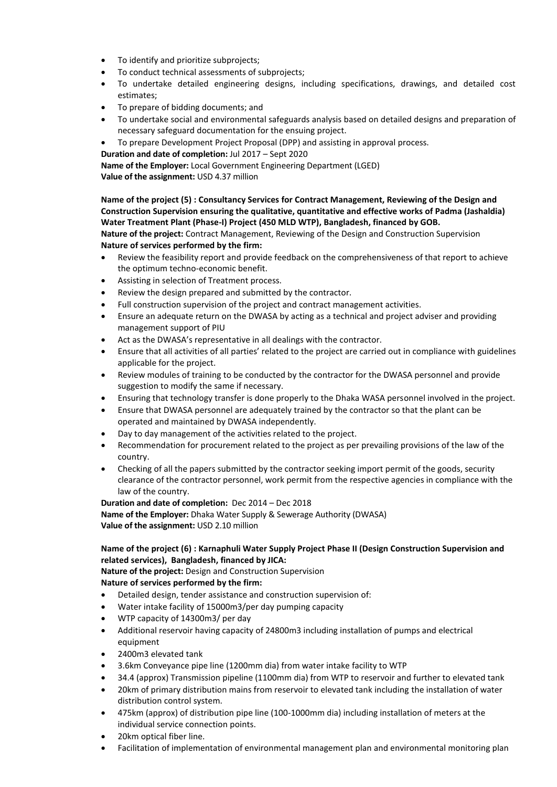- To identify and prioritize subprojects;
- To conduct technical assessments of subprojects;
- To undertake detailed engineering designs, including specifications, drawings, and detailed cost estimates;
- To prepare of bidding documents; and
- To undertake social and environmental safeguards analysis based on detailed designs and preparation of necessary safeguard documentation for the ensuing project.
- To prepare Development Project Proposal (DPP) and assisting in approval process.

**Duration and date of completion:** Jul 2017 – Sept 2020

**Name of the Employer:** Local Government Engineering Department (LGED)

**Value of the assignment:** USD 4.37 million

**Name of the project (5) : Consultancy Services for Contract Management, Reviewing of the Design and Construction Supervision ensuring the qualitative, quantitative and effective works of Padma (Jashaldia) Water Treatment Plant (Phase-I) Project (450 MLD WTP), Bangladesh, financed by GOB. Nature of the project:** Contract Management, Reviewing of the Design and Construction Supervision **Nature of services performed by the firm:**

- Review the feasibility report and provide feedback on the comprehensiveness of that report to achieve the optimum techno-economic benefit.
- Assisting in selection of Treatment process.
- Review the design prepared and submitted by the contractor.
- Full construction supervision of the project and contract management activities.
- Ensure an adequate return on the DWASA by acting as a technical and project adviser and providing management support of PIU
- Act as the DWASA's representative in all dealings with the contractor.
- Ensure that all activities of all parties' related to the project are carried out in compliance with guidelines applicable for the project.
- Review modules of training to be conducted by the contractor for the DWASA personnel and provide suggestion to modify the same if necessary.
- Ensuring that technology transfer is done properly to the Dhaka WASA personnel involved in the project.
- Ensure that DWASA personnel are adequately trained by the contractor so that the plant can be operated and maintained by DWASA independently.
- Day to day management of the activities related to the project.
- Recommendation for procurement related to the project as per prevailing provisions of the law of the country.
- Checking of all the papers submitted by the contractor seeking import permit of the goods, security clearance of the contractor personnel, work permit from the respective agencies in compliance with the law of the country.

**Duration and date of completion:** Dec 2014 – Dec 2018 **Name of the Employer:** Dhaka Water Supply & Sewerage Authority (DWASA) **Value of the assignment:** USD 2.10 million

### **Name of the project (6) : Karnaphuli Water Supply Project Phase II (Design Construction Supervision and related services), Bangladesh, financed by JICA:**

**Nature of the project:** Design and Construction Supervision

**Nature of services performed by the firm:**

- Detailed design, tender assistance and construction supervision of:
- Water intake facility of 15000m3/per day pumping capacity
- WTP capacity of 14300m3/ per day
- Additional reservoir having capacity of 24800m3 including installation of pumps and electrical equipment
- 2400m3 elevated tank
- 3.6km Conveyance pipe line (1200mm dia) from water intake facility to WTP
- 34.4 (approx) Transmission pipeline (1100mm dia) from WTP to reservoir and further to elevated tank
- 20km of primary distribution mains from reservoir to elevated tank including the installation of water distribution control system.
- 475km (approx) of distribution pipe line (100-1000mm dia) including installation of meters at the individual service connection points.
- 20km optical fiber line.
- Facilitation of implementation of environmental management plan and environmental monitoring plan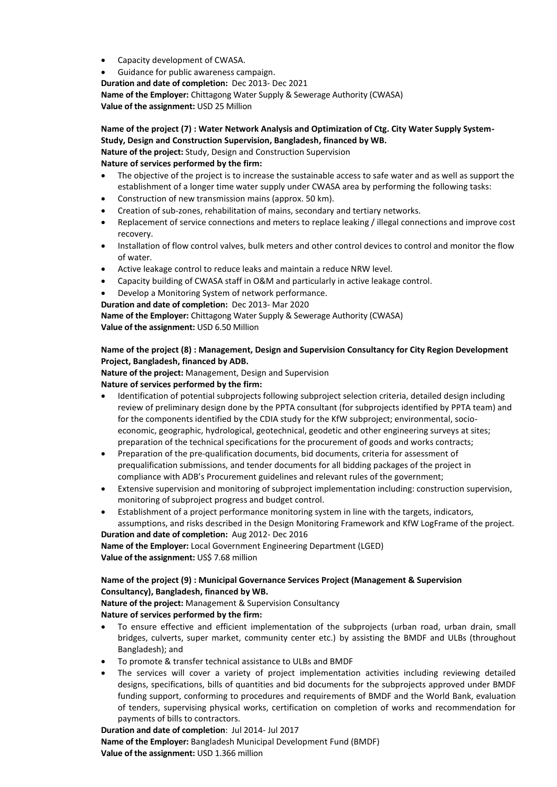- Capacity development of CWASA.
- Guidance for public awareness campaign. **Duration and date of completion:** Dec 2013- Dec 2021 **Name of the Employer:** Chittagong Water Supply & Sewerage Authority (CWASA)

**Value of the assignment:** USD 25 Million

#### **Name of the project (7) : Water Network Analysis and Optimization of Ctg. City Water Supply System-Study, Design and Construction Supervision, Bangladesh, financed by WB. Nature of the project:** Study, Design and Construction Supervision

#### **Nature of services performed by the firm:**

- The objective of the project is to increase the sustainable access to safe water and as well as support the establishment of a longer time water supply under CWASA area by performing the following tasks:
- Construction of new transmission mains (approx. 50 km).
- Creation of sub-zones, rehabilitation of mains, secondary and tertiary networks.
- Replacement of service connections and meters to replace leaking / illegal connections and improve cost recovery.
- Installation of flow control valves, bulk meters and other control devices to control and monitor the flow of water.
- Active leakage control to reduce leaks and maintain a reduce NRW level.
- Capacity building of CWASA staff in O&M and particularly in active leakage control.
- Develop a Monitoring System of network performance.
- **Duration and date of completion:** Dec 2013- Mar 2020

**Name of the Employer:** Chittagong Water Supply & Sewerage Authority (CWASA) **Value of the assignment:** USD 6.50 Million

### **Name of the project (8) : Management, Design and Supervision Consultancy for City Region Development Project, Bangladesh, financed by ADB.**

**Nature of the project:** Management, Design and Supervision

### **Nature of services performed by the firm:**

- Identification of potential subprojects following subproject selection criteria, detailed design including review of preliminary design done by the PPTA consultant (for subprojects identified by PPTA team) and for the components identified by the CDIA study for the KfW subproject; environmental, socioeconomic, geographic, hydrological, geotechnical, geodetic and other engineering surveys at sites; preparation of the technical specifications for the procurement of goods and works contracts;
- Preparation of the pre-qualification documents, bid documents, criteria for assessment of prequalification submissions, and tender documents for all bidding packages of the project in compliance with ADB's Procurement guidelines and relevant rules of the government;
- Extensive supervision and monitoring of subproject implementation including: construction supervision, monitoring of subproject progress and budget control.
- Establishment of a project performance monitoring system in line with the targets, indicators, assumptions, and risks described in the Design Monitoring Framework and KfW LogFrame of the project.

**Duration and date of completion:** Aug 2012- Dec 2016 **Name of the Employer:** Local Government Engineering Department (LGED) **Value of the assignment: US\$ 7.68 million** 

## **Name of the project (9) : Municipal Governance Services Project (Management & Supervision Consultancy), Bangladesh, financed by WB.**

**Nature of the project:** Management & Supervision Consultancy **Nature of services performed by the firm:**

- To ensure effective and efficient implementation of the subprojects (urban road, urban drain, small bridges, culverts, super market, community center etc.) by assisting the BMDF and ULBs (throughout Bangladesh); and
- To promote & transfer technical assistance to ULBs and BMDF
- The services will cover a variety of project implementation activities including reviewing detailed designs, specifications, bills of quantities and bid documents for the subprojects approved under BMDF funding support, conforming to procedures and requirements of BMDF and the World Bank, evaluation of tenders, supervising physical works, certification on completion of works and recommendation for payments of bills to contractors.

**Duration and date of completion**: Jul 2014- Jul 2017 **Name of the Employer:** Bangladesh Municipal Development Fund (BMDF) **Value of the assignment:** USD 1.366 million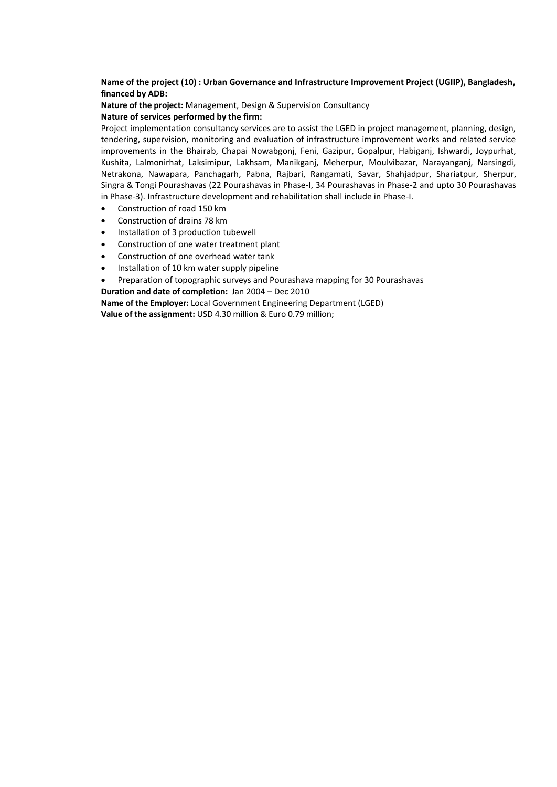**Name of the project (10) : Urban Governance and Infrastructure Improvement Project (UGIIP), Bangladesh, financed by ADB:**

**Nature of the project:** Management, Design & Supervision Consultancy **Nature of services performed by the firm:**

Project implementation consultancy services are to assist the LGED in project management, planning, design, tendering, supervision, monitoring and evaluation of infrastructure improvement works and related service improvements in the Bhairab, Chapai Nowabgonj, Feni, Gazipur, Gopalpur, Habiganj, Ishwardi, Joypurhat, Kushita, Lalmonirhat, Laksimipur, Lakhsam, Manikganj, Meherpur, Moulvibazar, Narayanganj, Narsingdi, Netrakona, Nawapara, Panchagarh, Pabna, Rajbari, Rangamati, Savar, Shahjadpur, Shariatpur, Sherpur, Singra & Tongi Pourashavas (22 Pourashavas in Phase-I, 34 Pourashavas in Phase-2 and upto 30 Pourashavas in Phase-3). Infrastructure development and rehabilitation shall include in Phase-I.

- Construction of road 150 km
- Construction of drains 78 km
- Installation of 3 production tubewell
- Construction of one water treatment plant
- Construction of one overhead water tank
- Installation of 10 km water supply pipeline
- Preparation of topographic surveys and Pourashava mapping for 30 Pourashavas
- **Duration and date of completion:** Jan 2004 Dec 2010

**Name of the Employer:** Local Government Engineering Department (LGED) **Value of the assignment:** USD 4.30 million & Euro 0.79 million;